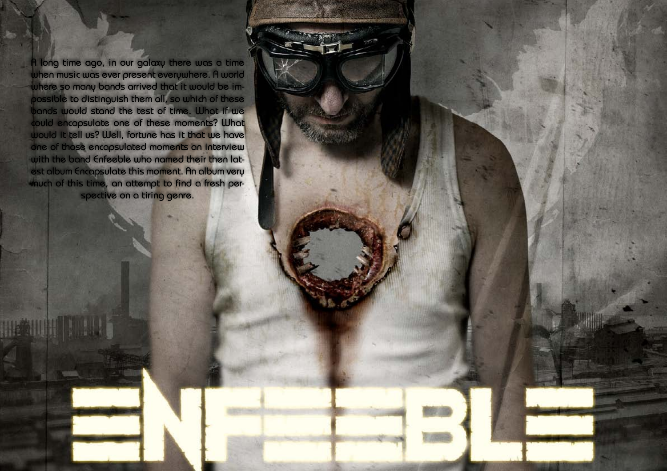Hallowed PDF-article Design by Daniel Källmalm

HENUTTING



A long time ago, in our galaxy there was a time when music was ever present everywhere. A world where so many bands arrived that it would be impossible to distinguish them all, so which of these bands would stand the test of time. What if we could encapsulate one of these moments? What would it tell us? Well, fortune has it that we have one of those encapsulated moments an interview with the band Enfeeble who named their then latest album Encapsulate this moment. An album very much of this time, an attempt to find a fresh perspective on a tiring genre.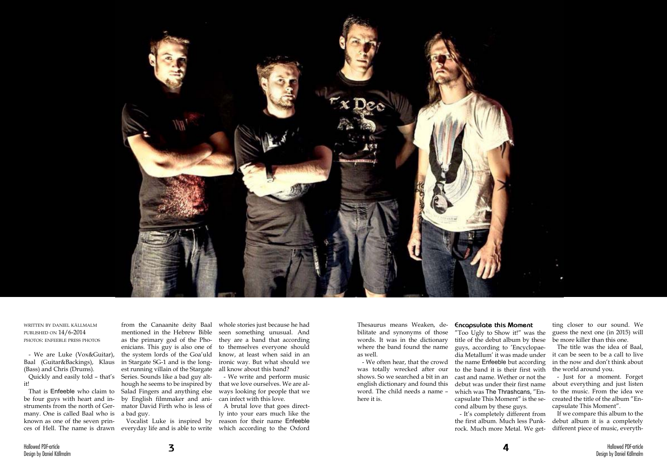



written by daniel källmalm published on 14/6-2014 photos: enfeeble press photos

- We are Luke (Vox&Guitar), Baal (Guitar&Backings), Klaus (Bass) and Chris (Drums).

Quickly and easily told – that's it!

from the Canaanite deity Baal mentioned in the Hebrew Bible as the primary god of the Phoenicians. This guy is also one of the system lords of the Goa'uld in Stargate SG-1 and is the longest running villain of the Stargate Series. Sounds like a bad guy although he seems to be inspired by Salad Fingers and anything else by English filmmaker and animator David Firth who is less of a bad guy.

That is Enfeeble who claim to be four guys with heart and instruments from the north of Germany. One is called Baal who is known as one of the seven princes of Hell. The name is drawn everyday life and is able to write which according to the Oxford

Vocalist Luke is inspired by

whole stories just because he had seen something unusual. And they are a band that according to themselves everyone should know, at least when said in an ironic way. But what should we all know about this band?

- We write and perform music that we love ourselves. We are always looking for people that we can infect with this love.

A brutal love that goes directly into your ears much like the reason for their name Enfeeble

Thesaurus means Weaken, debilitate and synonyms of those words. It was in the dictionary where the band found the name as well.

- We often hear, that the crowd was totally wrecked after our shows. So we searched a bit in an english dictionary and found this word. The child needs a name – here it is.

## **Encapsulate this Moment**

"Too Ugly to Show it!" was the title of the debut album by these guys, according to 'Encyclopaedia Metallum' it was made under the name Enfeeble but according to the band it is their first with cast and name. Wether or not the debut was under their first name which was The Thrashcans, "Encapsulate This Moment" is the second album by these guys.

- It's completely different from the first album. Much less Punkrock. Much more Metal. We get-

ting closer to our sound. We guess the next one (in 2015) will be more killer than this one.

The title was the idea of Baal, it can be seen to be a call to live in the now and don't think about the world around you.

- Just for a moment. Forget about everything and just listen to the music. From the idea we created the title of the album "Encapsulate This Moment".

If we compare this album to the debut album it is a completely different piece of music, everyth-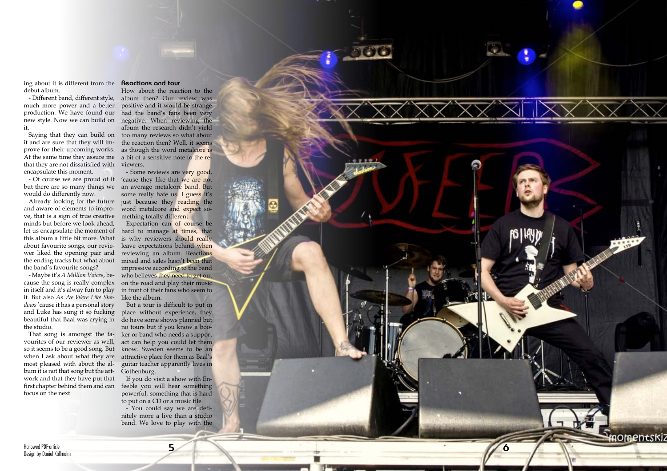Hallowed PDF-article Design by Daniel Källmalm **5**



ing about it is different from the **Reactions and tour** debut album.

much more power and a better production. We have found our it.

prove for their upcoming works. that they are not dissatisfied with viewers. encapsulate this moment.

would do differently now.

Already looking for the future and aware of elements to impro ve, that is a sign of true creative minds but before we look ahead, let us encapsulate the moment of this album a little bit more. What about favourite songs, our revie wer liked the opening pair and the band's favourite songs?

- Different band, different style, album then? Our review was new style. Now we can build on negative. When reviewing the Saying that they can build on too many reviews so what about it and are sure that they will im- the reaction then? Well, it seems At the same time they assure me a bit of a sensitive note to the re-How about the reaction to the positive and it would be strange had the band's fans been very album the research didn't yield as though the word metalcore is

- Of course we are proud of it 'cause they like that we are not but there are so many things we an average metalcore band. But - Some reviews are very good, some really hate us. I guess it's just because they reading the word metalcore and expect something totally different.

- Maybe it's *A Million Voices*, be cause the song is really complex in itself and it's alway fun to play it. But also *As We Were Like Sha dows* 'cause it has a personal story and Luke has sung it so fucking beautiful that Baal was crying in the studio.

the ending tracks but what about mixed and sales hasn't been that Expectation can of course be hard to manage at times, that is why reviewers should really leave expectations behind when reviewing an album. Reactions impressive according to the band who believes they need to get out on the road and play their music in front of their fans who seem to like the album.

That song is amongst the fa vourites of our reviewer as well, so it seems to be a good song. But when I ask about what they are most pleased with about the al bum it is not that song but the art work and that they have put that first chapter behind them and can focus on the next.

But a tour is difficult to put in place without experience, they do have some shows planned but no tours but if you know a boo ker or band who needs a support act can help you could let them know. Sweden seems to be an attractive place for them as Baal's guitar teacher apparently lives in Gothenburg.

If you do visit a show with En feeble you will hear something powerful, something that is hard to put on a CD or a music file.

- You could say we are defi nitely more a live than a studio band. We love to play with the